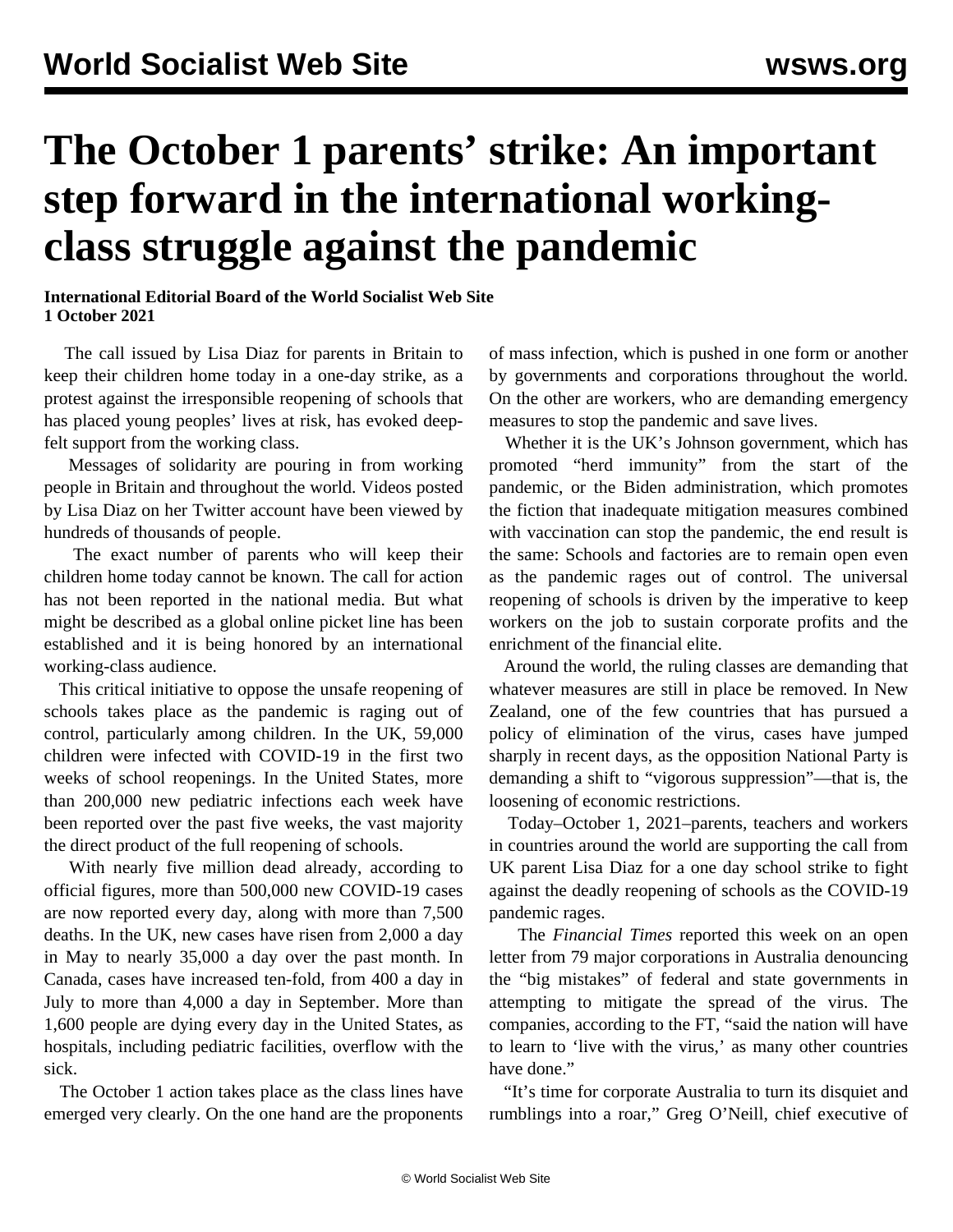## **The October 1 parents' strike: An important step forward in the international workingclass struggle against the pandemic**

**International Editorial Board of the World Socialist Web Site 1 October 2021**

 The call issued by Lisa Diaz for parents in Britain to keep their children home today in a one-day strike, as a protest against the irresponsible reopening of schools that has placed young peoples' lives at risk, has evoked deepfelt support from the working class.

 Messages of solidarity are pouring in from working people in Britain and throughout the world. Videos posted by Lisa Diaz on her Twitter account have been viewed by hundreds of thousands of people.

 The exact number of parents who will keep their children home today cannot be known. The call for action has not been reported in the national media. But what might be described as a global online picket line has been established and it is being honored by an international working-class audience.

 This critical initiative to oppose the unsafe reopening of schools takes place as the pandemic is raging out of control, particularly among children. In the UK, 59,000 children were infected with COVID-19 in the first two weeks of school reopenings. In the United States, more than 200,000 new pediatric infections each week have been reported over the past five weeks, the vast majority the direct product of the full reopening of schools.

 With nearly five million dead already, according to official figures, more than 500,000 new COVID-19 cases are now reported every day, along with more than 7,500 deaths. In the UK, new cases have risen from 2,000 a day in May to nearly 35,000 a day over the past month. In Canada, cases have increased ten-fold, from 400 a day in July to more than 4,000 a day in September. More than 1,600 people are dying every day in the United States, as hospitals, including pediatric facilities, overflow with the sick.

 The October 1 action takes place as the class lines have emerged very clearly. On the one hand are the proponents

of mass infection, which is pushed in one form or another by governments and corporations throughout the world. On the other are workers, who are demanding emergency measures to stop the pandemic and save lives.

 Whether it is the UK's Johnson government, which has promoted "herd immunity" from the start of the pandemic, or the Biden administration, which promotes the fiction that inadequate mitigation measures combined with vaccination can stop the pandemic, the end result is the same: Schools and factories are to remain open even as the pandemic rages out of control. The universal reopening of schools is driven by the imperative to keep workers on the job to sustain corporate profits and the enrichment of the financial elite.

 Around the world, the ruling classes are demanding that whatever measures are still in place be removed. In New Zealand, one of the few countries that has pursued a policy of elimination of the virus, cases have jumped sharply in recent days, as the opposition National Party is demanding a shift to "vigorous suppression"—that is, the loosening of economic restrictions.

 Today–October 1, 2021–parents, teachers and workers in countries around the world are supporting the call from UK parent Lisa Diaz for a one day school strike to fight against the deadly reopening of schools as the COVID-19 pandemic rages.

 The *Financial Times* reported this week on an open letter from 79 major corporations in Australia denouncing the "big mistakes" of federal and state governments in attempting to mitigate the spread of the virus. The companies, according to the FT, "said the nation will have to learn to 'live with the virus,' as many other countries have done"

 "It's time for corporate Australia to turn its disquiet and rumblings into a roar," Greg O'Neill, chief executive of